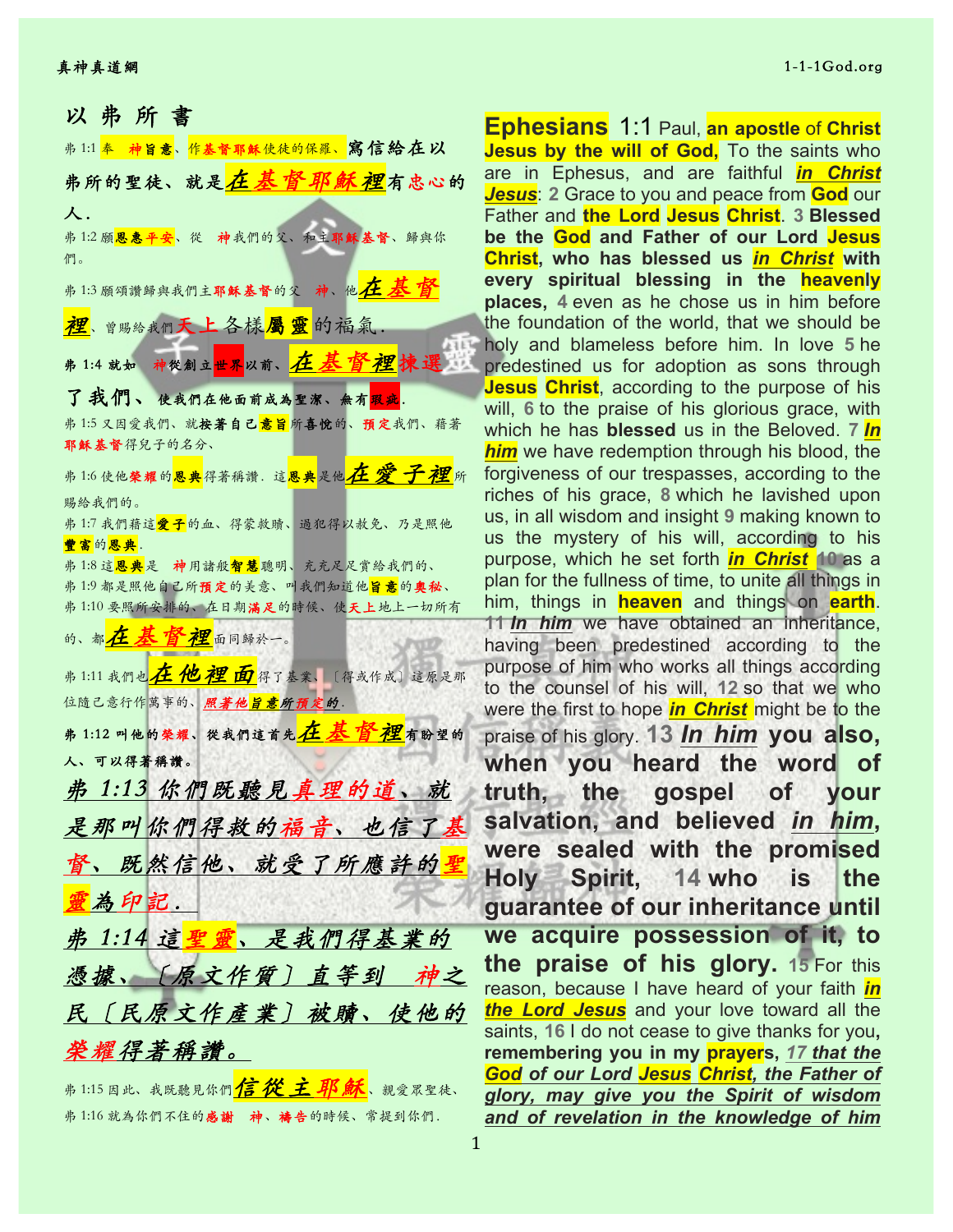以 弗 所 書

弗 1:1 <mark>奉 神旨意、作基督耶稣使徒的保羅、寫 信 給 在 以</mark> 弗所的聖徒、就是<mark>在 基 督 耶 穌 裡</mark>有忠心的 人. 弗 1:2 願<mark>恩惠平安</mark>、從 神我們的父、和主**耶穌基督**、歸與你 們。 弗 1:3 願頌讚歸與我們主耶穌基督的父 神、他在基督 裡、曾賜給我們天上各樣屬靈的福氣. 弗 1:4 就如 神從創立世界以前、在基督裡揀選 了我們、使我們在他面前成為聖潔、無有<mark>瑕疵</mark>. 弗 1:5 又因愛我們、就按著自己<mark>意旨</mark>所喜悅的、預定我們、藉著 耶穌基督得兒子的名分、 弗 1:6 使他荣耀的<mark>恩典</mark>得著稱讚. 這<mark>恩典</mark>是他<mark>在愛子裡</mark>所 賜給我們的。 弗 1:7 我們藉這<mark>愛子</mark>的血、得蒙救贖、過犯得以赦免、乃是照他 豐富的恩典. 弗 1:8 這<mark>恩典</mark>是 神用諸般<mark>智慧</mark>聰明、充充足足賞給我們的、 弗 1:9 都是照他自己所預定的美意、叫我們知道他<mark>旨意</mark>的奧秘、 弗1:10 要照所安排的、在日期滿足的時候、使天上地上一切所有 的、都在基督裡面同歸於一。 弗 1:11 我們也<mark>在 他 裡 面</mark>得了基業、〔得或作成〕這原是那 位隨己意行作萬事的、照著他旨意所預定的 弗 1:12 叫他的荣耀、從我們這首先<mark>在 基 督 裡</mark>有盼望的 ⼈、可以得著稱讚。 弗 1:13 你們既聽見真理的道、就 是那叫你們得救的福音、也信了基 督、既然信他、就受了所應許的 靈為印記. 弗 1:14 這聖靈、是我們得基業的 憑據、〔原⽂作質〕直等到 神之 民〔民原⽂作產業〕被贖、使他的 榮耀得著稱讚。

弗 1:15 因此、我既聽見你們<mark>信 從 主 耶 穌</mark>、親愛眾聖徒、 弗1:16 就為你們不住的感謝 神、禱告的時候、常提到你們.

**Ephesians** 1:1 Paul, **an apostle** of **Christ Jesus by the will of God,** To the saints who are in Ephesus, and are faithful *in Christ Jesus*: **2** Grace to you and peace from **God** our Father and **the Lord Jesus Christ**. **3 Blessed be the God and Father of our Lord Jesus Christ, who has blessed us** *in Christ* **with every spiritual blessing in the heavenly places, 4** even as he chose us in him before the foundation of the world, that we should be holy and blameless before him. In love **5** he predestined us for adoption as sons through **Jesus Christ**, according to the purpose of his will, **6** to the praise of his glorious grace, with which he has **blessed** us in the Beloved. **7** *In him* we have redemption through his blood, the forgiveness of our trespasses, according to the riches of his grace, **8** which he lavished upon us, in all wisdom and insight **9** making known to us the mystery of his will, according to his purpose, which he set forth *in Christ* **10** as a plan for the fullness of time, to unite all things in him, things in **heaven** and things on **earth**. **11** *In him* we have obtained an inheritance, having been predestined according to the purpose of him who works all things according to the counsel of his will, **12** so that we who were the first to hope *in Christ* might be to the praise of his glory. **13** *In him* **you also, when you heard the word of truth, the gospel of your salvation, and believed** *in him***, were sealed with the promised Holy Spirit, 14 who is the guarantee of our inheritance until we acquire possession of it, to the praise of his glory. 15** For this reason, because I have heard of your faith *in the Lord Jesus* and your love toward all the saints, **16** I do not cease to give thanks for you**, remembering you in my prayers,** *17 that the God of our Lord Jesus Christ, the Father of glory, may give you the Spirit of wisdom and of revelation in the knowledge of him*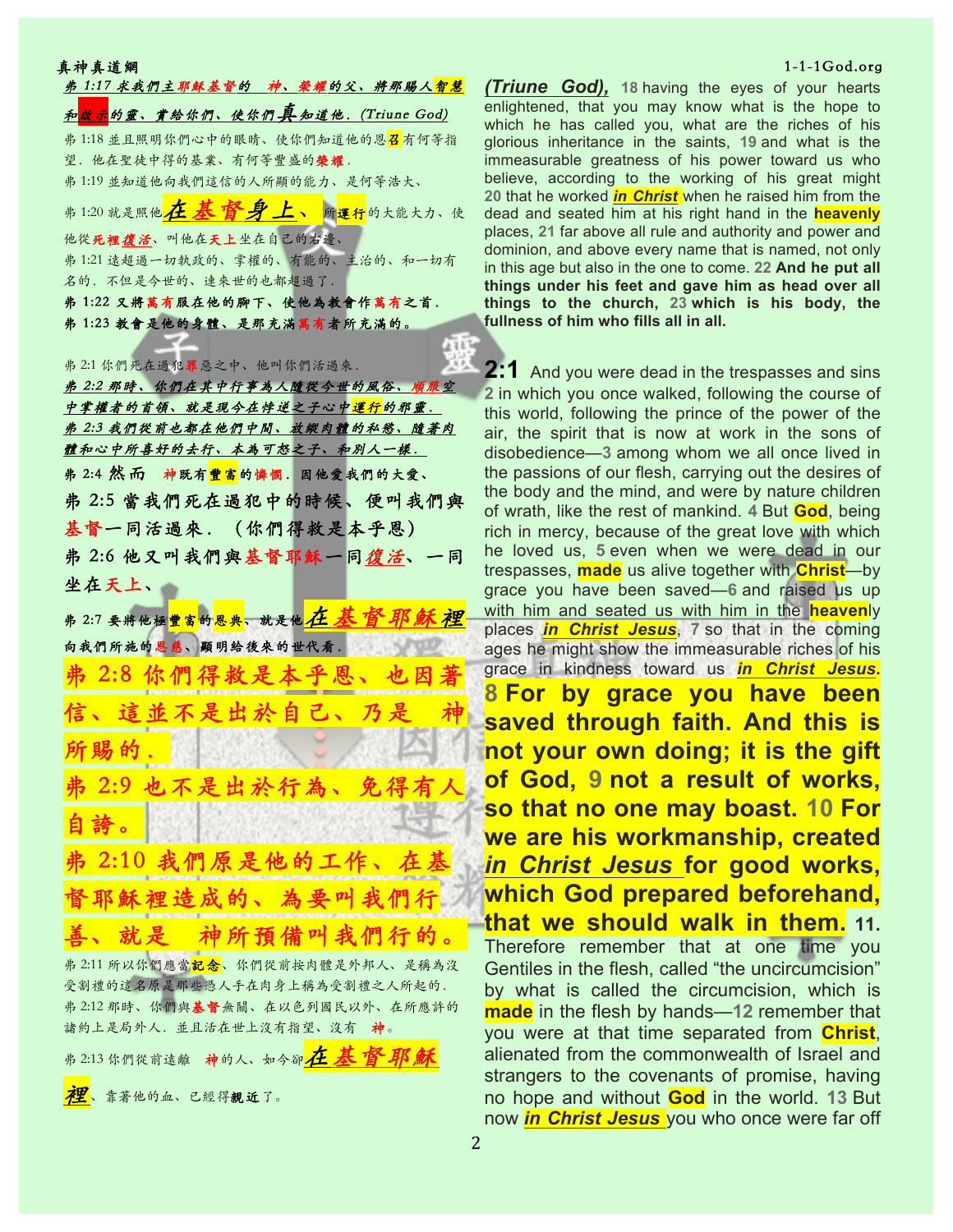### 真神真道網 1-1-1God.org としょう しょうしょう しゅうしょう しゅうしょう しゅうしゅうしゅぎょう しゅうしゅうしゅ

弗 1:17 求我們主耶穌基督的 神、榮耀的父、將那賜人智慧 和<mark>啟示</mark>的靈、賞給你們、使你們真知道他. (Triune God) 弗 1:18 並且照明你們心中的眼睛、使你們知道他的恩<mark>召</mark>有何等指 望.他在聖徒中得的基業、有何等豐盛的榮耀. 弗 1:19 並知道他向我們這信的⼈所顯的能⼒、是何等浩⼤、 弗 1:20 就是照他<mark>在 基 督 身 上 、 所運行</mark>的大能大力、使 他從死裡復活、叫他在天上坐在自己的右邊、 弗 1:21 遠超過一切執政的、掌權的、有能的、主治的、和一切有 名的.不但是今世的、連來世的也都超過了. 弗 1:22 又將萬有服在他的腳下、使他為教會作萬有之首. 弗 1:23 教會是他的身體、是那充滿萬有者所充滿的。

弗 2:1 你們死在過犯罪惡之中、他叫你們活過來. 弗 2:2 那時、你們在其中行事為人隨從今世的風俗、順服空 中掌權者的首領、就是現今在悖逆之子心中運行的邪靈. 弗 2:3 我們從前也都在他們中間、放縱肉體的私慾、隨著肉 體和心中所喜好的去行、本為可怒之子、和別人一樣. 弗 2:4 然 而 神既有豐富的憐憫. 因他愛我們的大愛、 弗 2:5 當我們死在過犯中的時候、便叫我們與 基督一同活過來. (你們得救是本乎恩) 弗 2:6 他又叫我們與基督耶穌一同復活、一同 坐在天上、

弗 2:7 要將他極豐富的<mark>恩典</mark>、就是他 向我們所施的恩慈、顯明給後來的世代看. 弗 2:8 你們得救是本乎恩、也因著 信、這並不是出於自⼰、乃是 神 所賜的. 不是出於 自誇。 弗 2:10 我們原是他的⼯作、在基 督耶穌裡造成的、為要叫我們行 善、就是 神所預備叫我們行的。 弗 2:11 所以你們應當<mark>記念</mark>、你們從前按肉體是外邦人、是稱為沒

受割禮的這名原是那些憑人手在肉身上稱為受割禮之人所起的. 弗 2:12 那時、你們與基督無關、在以色列國民以外、在所應許的 諸約上是局外人. 並且活在世上沒有指望、沒有 神

弗 2:13 你們從前遠離 神的人、如今卻<mark>在</mark>

靠著他的血、已經得親近了。

*(Triune God),* **18** having the eyes of your hearts enlightened, that you may know what is the hope to which he has called you, what are the riches of his glorious inheritance in the saints, **19** and what is the immeasurable greatness of his power toward us who believe, according to the working of his great might **20** that he worked *in Christ* when he raised him from the dead and seated him at his right hand in the **heavenly** places, **21** far above all rule and authority and power and dominion, and above every name that is named, not only in this age but also in the one to come. **22 And he put all things under his feet and gave him as head over all things to the church, 23 which is his body, the fullness of him who fills all in all.**

**2:1** And you were dead in the trespasses and sins **2** in which you once walked, following the course of this world, following the prince of the power of the air, the spirit that is now at work in the sons of disobedience—**3** among whom we all once lived in the passions of our flesh, carrying out the desires of the body and the mind, and were by nature children of wrath, like the rest of mankind. **4** But **God**, being rich in mercy, because of the great love with which he loved us, **5** even when we were dead in our trespasses, **made** us alive together with **Christ**—by grace you have been saved—**6** and raised us up with him and seated us with him in the **heaven**ly places *in Christ Jesus*, **7** so that in the coming ages he might show the immeasurable riches of his grace in kindness toward us *in Christ Jesus***. 8 For by grace you have been saved through faith. And this is not your own doing; it is the gift of God, 9 not a result of works, so that no one may boast. 10 For we are his workmanship, created**  *in Christ Jesus* **for good works, which God prepared beforehand, that we should walk in them. 11.**  Therefore remember that at one time you Gentiles in the flesh, called "the uncircumcision" by what is called the circumcision, which is **made** in the flesh by hands—**12** remember that you were at that time separated from **Christ**, alienated from the commonwealth of Israel and strangers to the covenants of promise, having no hope and without **God** in the world. **13** But now *in Christ Jesus* you who once were far off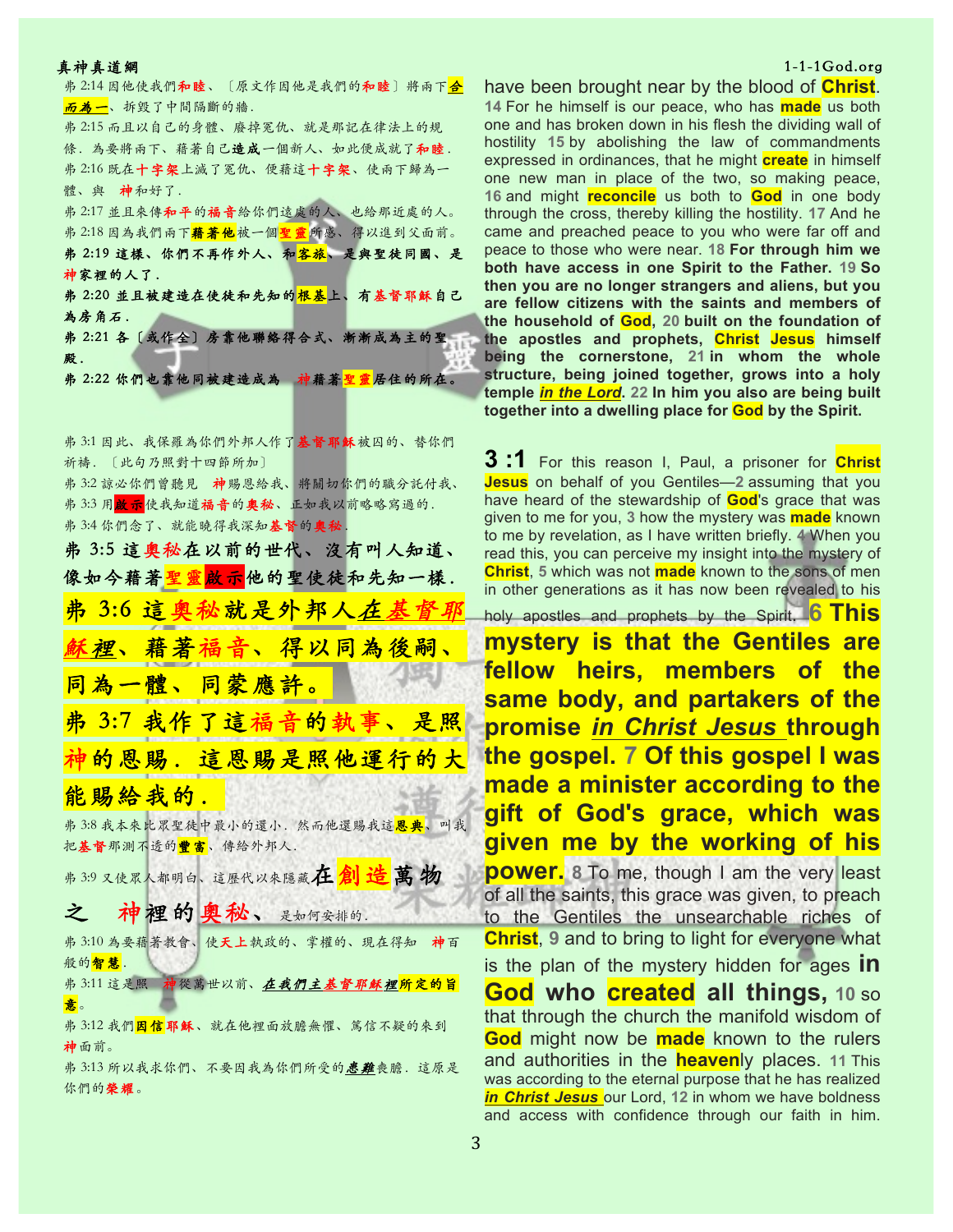弗 2:14 因他使我們**和睦**、〔原文作因他是我們的**和睦**〕將兩下<mark>合</mark> 石為一、拆毀了中間隔斷的牆.

弗 2:15 而且以自己的身體、廢掉冤仇、就是那記在律法上的規 條. 為要將兩下、藉著自己造成一個新人、如此便成就了和睦. 弗 2:16 既在十字架上滅了冤仇、便藉這十字架、使兩下歸為一 體、與 神和好了.

弗 2:17 並且來傳和平的福音給你們遠處的⼈、也給那近處的⼈。 弗 2:18 因為我們兩下<mark>藉著他</mark>被一個<mark>聖靈所感、得以進到父面前。</mark>

弗 2:19 這樣、你們不再作外人、和<mark>客旅</mark>、是與聖徒同國、是 神家裡的⼈了.

弗 2:20 並且被建造在使徒和先知的<mark>根基</mark>上、有基督耶穌自己 為房角石.

弗 2:21 各〔或作全〕房靠他聯絡得合式、漸漸成為主的聖 殿.

弗 2:22 你們也靠他同被建造成為 神藉著聖靈居住的所在。

弗 3:1 因此、我保羅為你們外邦⼈作了基督耶穌被囚的、替你們 祈禱. 〔此句乃照對十四節所加〕

弗 3:2 諒必你們曾聽見 神賜恩給我、將關切你們的職分託付我、 弗 3:3 用成示使我知道福音的奥秘、正如我以前略略寫過的. 弗 3:4 你們念了、就能曉得我深知基督的奧秘

弗 3:5 這奧秘在以前的世代、沒有叫人知道、 像如今藉著<mark>聖靈啟示</mark>他的聖使徒和先知一樣. 3:6 這 奧秘就是外邦人 富音、得以同為後嗣、 為一體、同蒙應許。 弗 3:7 我作了這福音的執事、是照 的恩賜.這恩賜是照他運行的大 能賜給我的。 弗 3:8 我本來比眾聖徒中最小的還小. 然而他還賜我這<mark>恩典</mark>、叫我 把基督那測不透的曹富、傳給外邦人. 弗 3:9 又使眾人都明白、這歷代以來隱藏在<mark>創造萬物</mark> 之 神裡的奧秘、是如何安排的. 弗 3:10 為要藉著教會、使天上執政的、掌權的、現在得知 神百 般的智慧. 弗 3:11 這是照 神從萬世以前、在我們主基督耶穌裡所定的旨 意。 弗 3:12 我們因信耶穌、就在他裡面放膽無懼、篤信不疑的來到 神面前。 弗 3:13 所以我求你們、不要因我為你們所受的患難喪膽. 這原是 你們的榮耀。

### 真神真道網 1-1-1God.org としょう しょうしょう しゅうしょう しゅうしょう しゅうしゅうしゅぎょう しゅうしゅうしゅ

have been brought near by the blood of **Christ**. **14** For he himself is our peace, who has **made** us both one and has broken down in his flesh the dividing wall of hostility **15** by abolishing the law of commandments expressed in ordinances, that he might **create** in himself one new man in place of the two, so making peace, **16** and might **reconcile** us both to **God** in one body through the cross, thereby killing the hostility. **17** And he came and preached peace to you who were far off and peace to those who were near. **18 For through him we both have access in one Spirit to the Father. 19 So then you are no longer strangers and aliens, but you are fellow citizens with the saints and members of the household of God, 20 built on the foundation of the apostles and prophets, Christ Jesus himself being the cornerstone, 21 in whom the whole structure, being joined together, grows into a holy temple** *in the Lord***. 22 In him you also are being built together into a dwelling place for God by the Spirit.**

**3 :1** For this reason I, Paul, a prisoner for **Christ Jesus** on behalf of you Gentiles—**2** assuming that you have heard of the stewardship of **God**'s grace that was given to me for you, **3** how the mystery was **made** known to me by revelation, as I have written briefly. **4** When you read this, you can perceive my insight into the mystery of **Christ**, **5** which was not **made** known to the sons of men in other generations as it has now been revealed to his

holy apostles and prophets by the Spirit. **6 This mystery is that the Gentiles are fellow heirs, members of the same body, and partakers of the promise** *in Christ Jesus* **through the gospel. 7 Of this gospel I was made a minister according to the gift of God's grace, which was given me by the working of his power.** 8 To me, though I am the very least of all the saints, this grace was given, to preach to the Gentiles the unsearchable riches of **Christ**, **9** and to bring to light for everyone what is the plan of the mystery hidden for ages **in God who created all things, 10** so that through the church the manifold wisdom of **God** might now be **made** known to the rulers and authorities in the **heaven**ly places. **11** This was according to the eternal purpose that he has realized *in Christ Jesus* our Lord, **12** in whom we have boldness and access with confidence through our faith in him.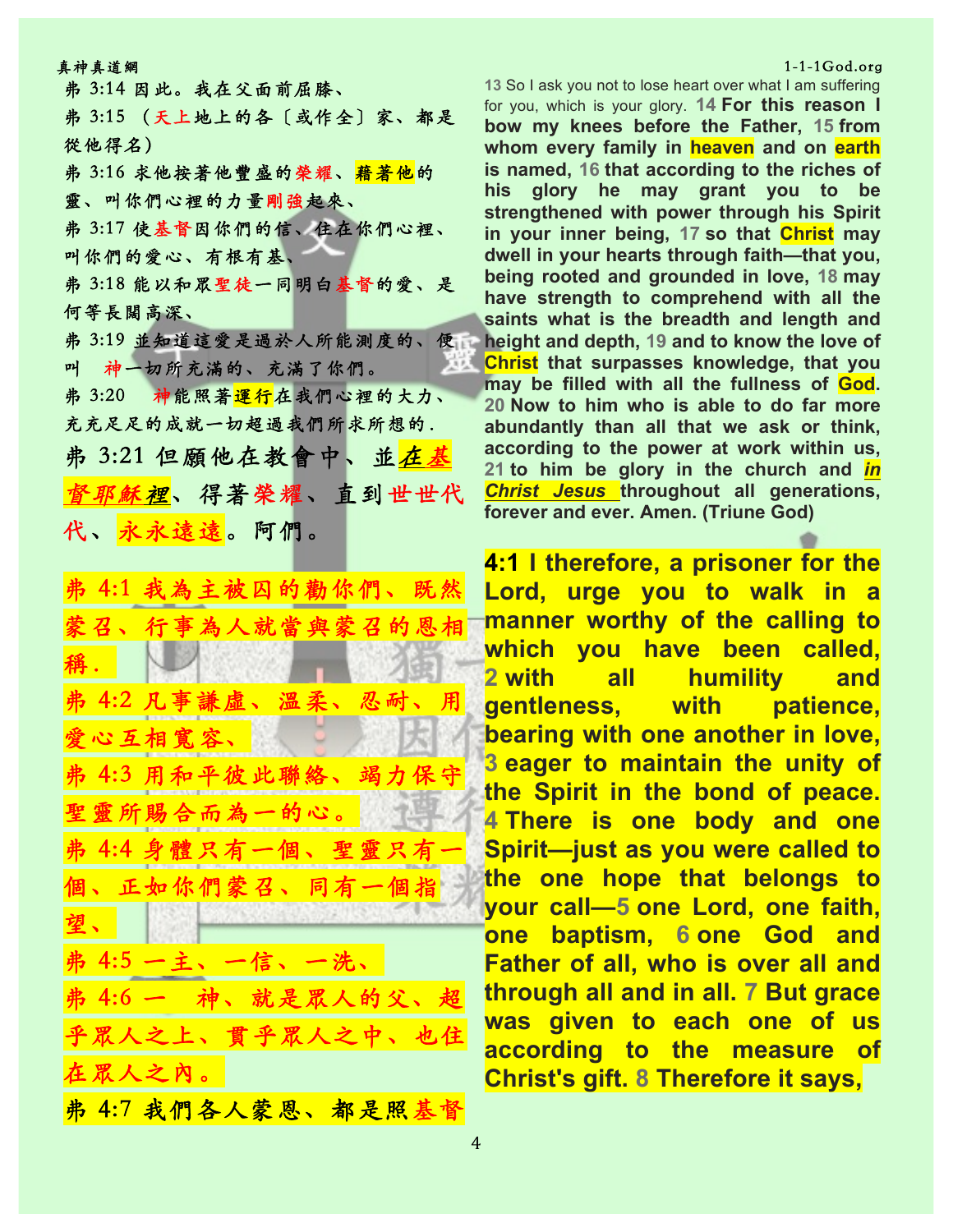## 真神真道網 1-1-1God.org としょう しょうしょう しょうしょう しゅうしょう しゅうしゅうしゅぎょう しょうしゅうしゅ 弗 3:14 因此。我在父面前屈膝、 弗 3:15 (天上地上的各〔或作全〕家、都是 從他得名) 弗 3:16 求他按著他豐盛的榮耀、<mark>藉著他</mark>的 靈、叫你們心裡的力量剛強起來、 弗 3:17 使基督因你們的信、住在你們心裡、 叫你們的愛⼼、有根有基、 弗 3:18 能以和眾聖徒一同明白基督的愛、是 何等長闊高深、 弗 3:19 並知道這愛是過於人所能測度的、便 叫 神一切所充滿的、充滿了你們。 弗 3:20 神能照著運行在我們心裡的大力、 充充足足的成就一切超過我們所求所想的. 弗 3:21 但願他在教會中、並<mark>在基</mark> 督耶穌裡、得著榮耀、直到世世代 代、永永遠遠。阿們。

弗 4:1 我為主被囚的勸你們、既然 事為人就當與蒙召的恩相 稱. 忍耐、 心互相實 用和平彼此聯 靈所賜合而為一的心。 4:4 身體只有一個、 、正如你們蒙召、同有 望、 4:5 一主、一信、 4:6 一 神、就是眾人的父 乎眾⼈之上、貫乎眾⼈之中、也住 在眾⼈之內。 弗 4:7 我們各⼈蒙恩、都是照基督

**13** So I ask you not to lose heart over what I am suffering for you, which is your glory. **14 For this reason I bow my knees before the Father, 15 from whom every family in heaven and on earth is named, 16 that according to the riches of his glory he may grant you to be strengthened with power through his Spirit in your inner being, 17 so that Christ may dwell in your hearts through faith—that you, being rooted and grounded in love, 18 may have strength to comprehend with all the saints what is the breadth and length and height and depth, 19 and to know the love of Christ that surpasses knowledge, that you may be filled with all the fullness of God. 20 Now to him who is able to do far more abundantly than all that we ask or think, according to the power at work within us, 21 to him be glory in the church and** *in Christ Jesus* **throughout all generations, forever and ever. Amen. (Triune God)**

**4:1 I therefore, a prisoner for the Lord, urge you to walk in a manner worthy of the calling to which you have been called, 2 with all humility and gentleness, with patience, bearing with one another in love, 3 eager to maintain the unity of the Spirit in the bond of peace. 4 There is one body and one Spirit—just as you were called to the one hope that belongs to your call—5 one Lord, one faith, one baptism, 6 one God and Father of all, who is over all and through all and in all. 7 But grace was given to each one of us according to the measure of Christ's gift. 8 Therefore it says,**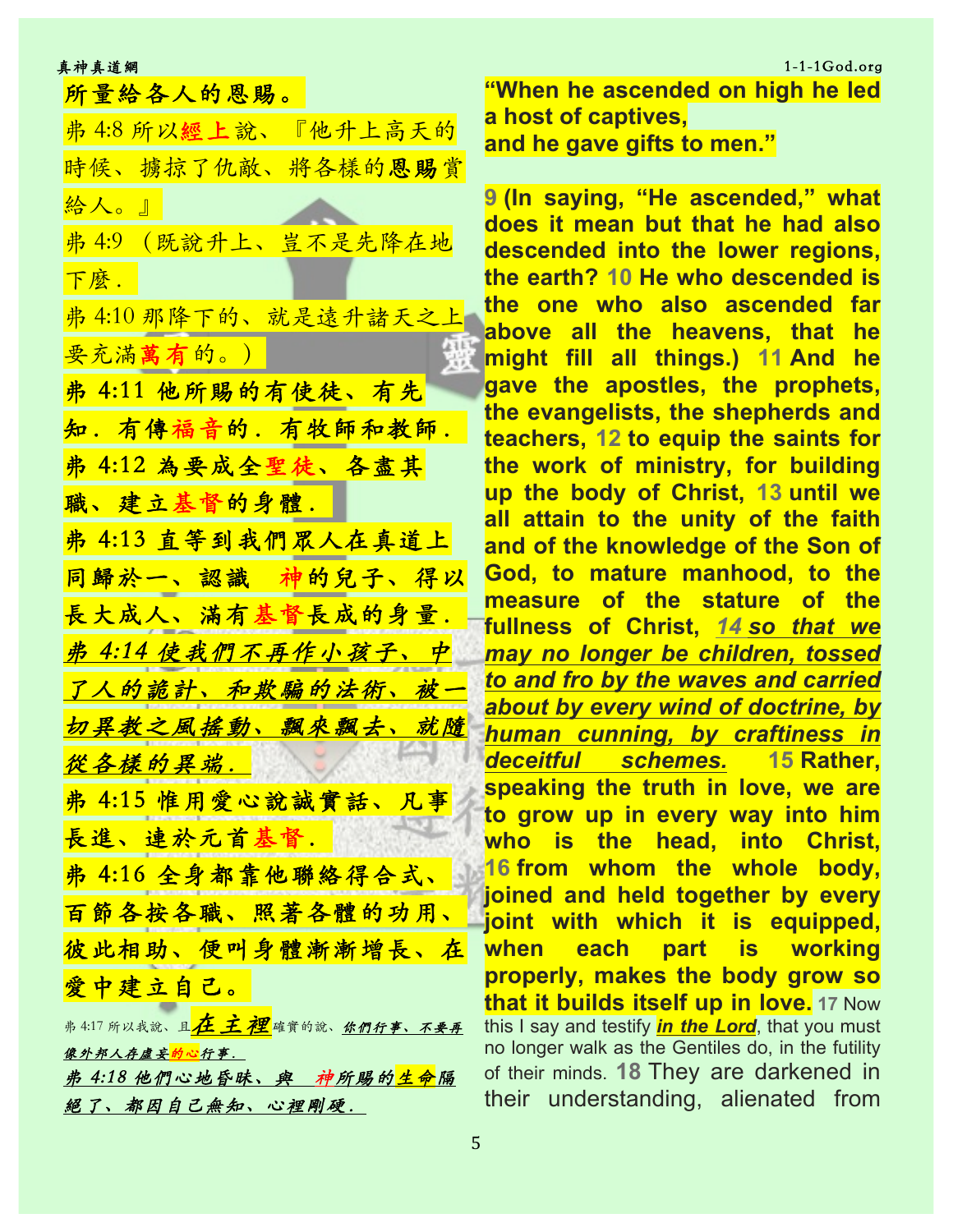真神真道網 1-1-1God.org としょう しょうしょう しょうしょう しょうしょう しょうしゅう しょうしゅうしゅぎょう

| 所量給各人的恩賜。                                                             |
|-----------------------------------------------------------------------|
| 弗 4:8 所以經上說、『他升上高天的                                                   |
| 時候、擄掠了仇敵、將各樣的恩賜賞                                                      |
| 給人。』                                                                  |
| 弗 4:9 (既說升上、豈不是先降在地                                                   |
| 下麼.                                                                   |
| 弗 4:10 那降下的、就是遠升諸天之上                                                  |
| 要充滿萬有的。)                                                              |
| 弗 4:11 他所賜的有使徒、有先                                                     |
| 知.有傳福音的.有牧師和教師.                                                       |
| <b>弗 4:12 為要成全聖徒、各盡其</b>                                              |
| 職、建立基督的身體.                                                            |
| 弗 4:13 直等到我們眾人在真道上                                                    |
| 同歸於一、認識 神的兒子、<br>得以                                                   |
| 長大成人、滿有基督長成的身量.                                                       |
| 弗 4:14 使我們不再作小孩子、中                                                    |
| 了人的詭計、和欺騙的法術、被一                                                       |
| <mark>切異教之風搖動、飄來飄去、就隨</mark>                                          |
| <u>從各樣的異端.</u>                                                        |
| 弗 4:15 惟用愛心說誠實話、凡事                                                    |
| 長進、連於元首基督。                                                            |
| 弗 4:16 全身都靠他聯絡得合式、                                                    |
| 百節各按各職、照著各體的功用、                                                       |
| 彼此相助、便叫身體漸漸增長、在                                                       |
| 愛中建立自己。                                                               |
| 弗4:17所以我說、且在主裡確實的說、你們行事、不要再                                           |
| 像外邦人存虚妄 <mark>的心</mark> 行事.<br>弗 4:18 他們心地昏昧、與 神所賜的 <mark>生命</mark> 隔 |
| 絕了、都因自己無知、心裡剛硬.                                                       |

**"When he ascended on high he led a host of captives, and he gave gifts to men."**

**9 (In saying, "He ascended," what does it mean but that he had also descended into the lower regions, the earth? 10 He who descended is the one who also ascended far above all the heavens, that he might fill all things.) 11 And he gave the apostles, the prophets, the evangelists, the shepherds and teachers, 12 to equip the saints for the work of ministry, for building up the body of Christ, 13 until we all attain to the unity of the faith and of the knowledge of the Son of God, to mature manhood, to the measure of the stature of the fullness of Christ,** *14 so that we may no longer be children, tossed to and fro by the waves and carried about by every wind of doctrine, by human cunning, by craftiness in deceitful schemes.* **15 Rather, speaking the truth in love, we are to grow up in every way into him who is the head, into Christ, 16 from whom the whole body, joined and held together by every joint with which it is equipped, when each part is working properly, makes the body grow so that it builds itself up in love. 17 Now** this I say and testify *in the Lord*, that you must no longer walk as the Gentiles do, in the futility of their minds. **18** They are darkened in their understanding, alienated from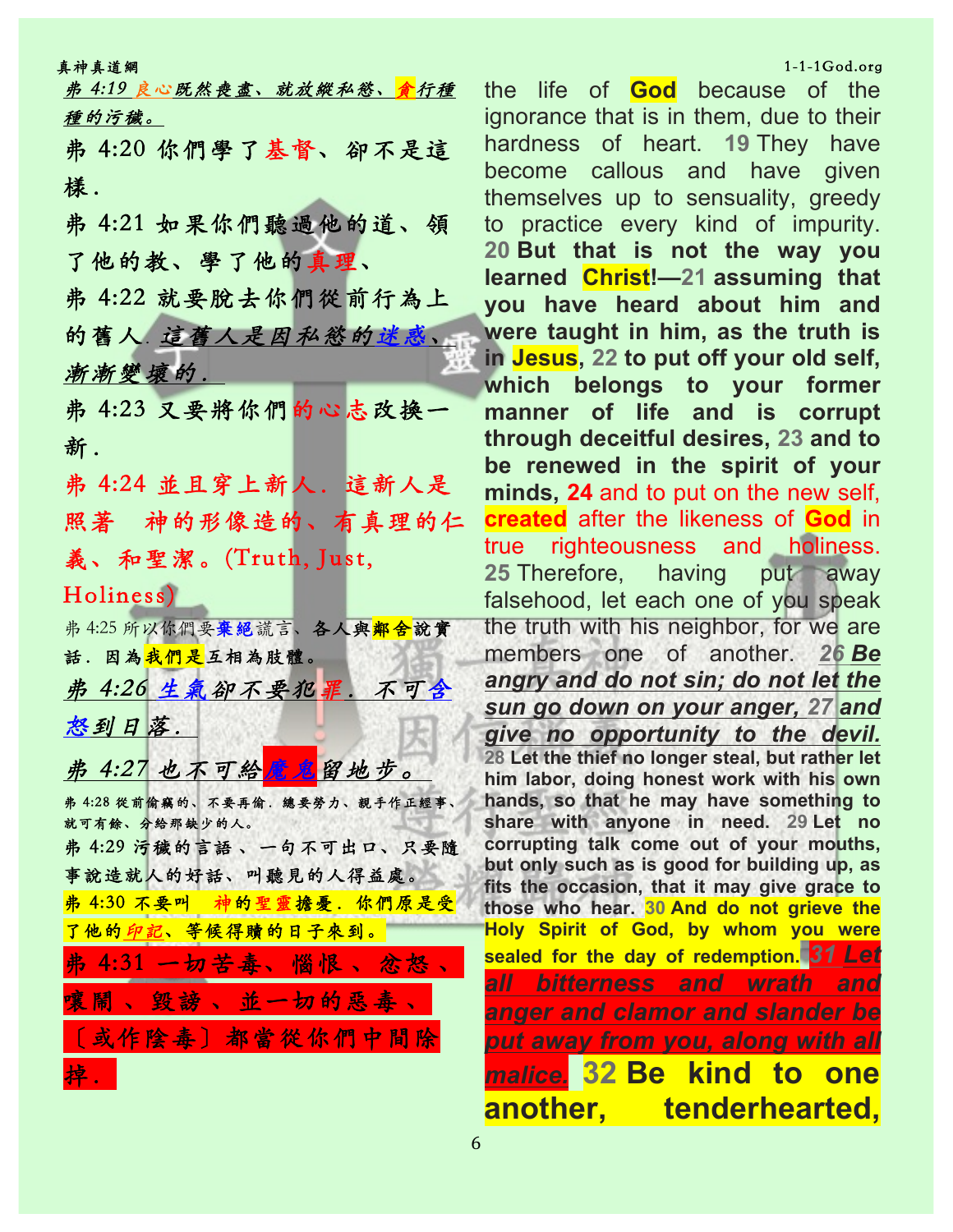| 真神真道網                                     |
|-------------------------------------------|
| 弗 4:19 良心既然喪盡、就放縱私慾、貪行種<br>種的污穢。          |
| 弗 4:20 你們學了基督、卻不是這                        |
|                                           |
| 樣.                                        |
| 弗 4:21 如果你們聽過他的道、領                        |
| 了他的教、學了他的真理、                              |
| 弗 4:22 就要脱去你們從前行為上                        |
| 的舊人. 這舊人是因私慾的迷惑、                          |
| 漸漸變壞的.                                    |
| 弗 4:23 又要將你們的心志改換一                        |
| 新.                                        |
| 弗 4:24 並且穿上新人.這新人是                        |
| 照著 神的形像造的、有真理的仁                           |
| 義、和聖潔。(Truth, Just,                       |
| Holiness)                                 |
| 弗 4:25 所以你們要棄絕謊言、各人與 <mark>鄰舍</mark> 說實   |
| 話.因為我們是互相為肢體。                             |
| 弗 4:26 生氣卻不要犯罪. 不可含                       |
| 怒到日落.                                     |
| 弗 4:27 也不可給魔鬼留地步。                         |
| 弗 4:28 從前偷竊的、不要再偷.總要勞力、親手作正經事、            |
| 就可有餘、分給那缺少的人。<br>弗 4:29 污穢的言語、 一句不可出口、只要隨 |
| 事說造就人的好話、叫聽見的人得益處。                        |
| 弗 4:30 不要叫 神的聖靈擔憂.你們原是受                   |
| 了他的 <u>印記</u> 、等候得贖的日子來到。                 |
| 弗 4:31 一切苦毒、惱恨、 忿怒、                       |
| 嚷鬧、毀謗、並一切的惡毒、                             |
| 〔或作陰毒〕都當從你們中間除                            |
| 掉.                                        |
|                                           |

 $1-1-1$ God.org the life of **God** because of the ignorance that is in them, due to their hardness of heart. **19** They have become callous and have given themselves up to sensuality, greedy to practice every kind of impurity. **20 But that is not the way you learned Christ!—21 assuming that you have heard about him and were taught in him, as the truth is in Jesus, 22 to put off your old self, which belongs to your former manner of life and is corrupt through deceitful desires, 23 and to be renewed in the spirit of your minds, 24** and to put on the new self, **created** after the likeness of **God** in true righteousness and holiness. **25** Therefore, having put away falsehood, let each one of you speak the truth with his neighbor, for we are members one of another. *26 Be angry and do not sin; do not let the sun go down on your anger, 27 and give no opportunity to the devil.* **28 Let the thief no longer steal, but rather let him labor, doing honest work with his own hands, so that he may have something to share with anyone in need. 29 Let no corrupting talk come out of your mouths, but only such as is good for building up, as** 

**fits the occasion, that it may give grace to those who hear. 30 And do not grieve the Holy Spirit of God, by whom you were sealed for the day of redemption.** *31 Let all bitterness and wrath and anger and clamor and slander be put away from you, along with all* 

*malice.* **32 Be kind to one** 

**another, tenderhearted,** 

6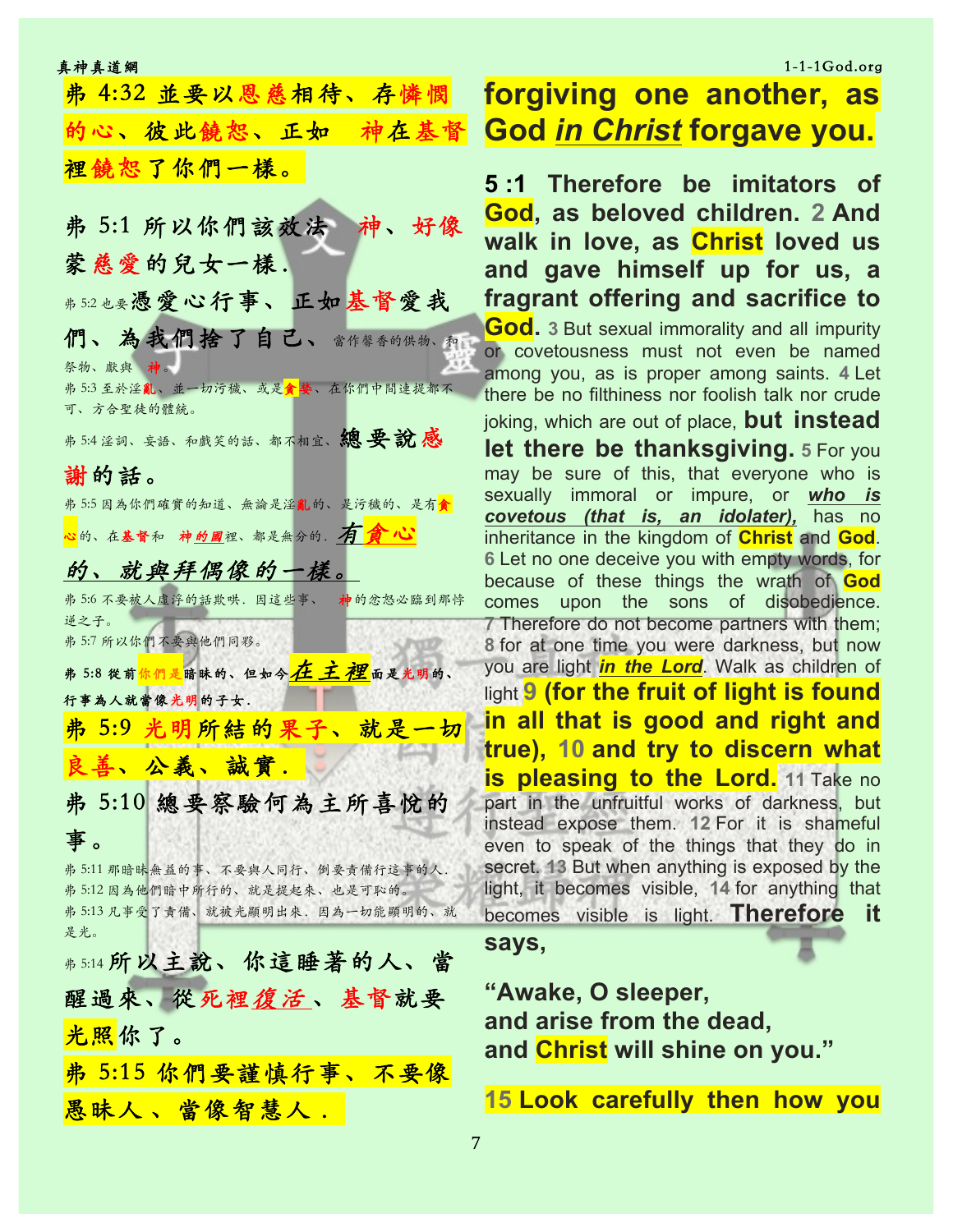### $1-1-1$ God.org

|  |  | 真神真道網 |  |
|--|--|-------|--|
|  |  |       |  |

|  |  |           |  | 弗 4:32 並要以恩慈相待、存憐憫 |  |  |
|--|--|-----------|--|--------------------|--|--|
|  |  |           |  | 的心、彼此饒恕、正如 神在基督    |  |  |
|  |  | 裡饒恕了你們一樣。 |  |                    |  |  |
|  |  |           |  |                    |  |  |

弗 5:1 所以你們該效法 神、好像 蒙慈愛的兒女一樣. 弗 5:2 也要憑愛心行事、正如基督愛我 們、為我們捨了自己、當作馨香的供物、和 祭物、獻與 市

弗 5:3 至於淫亂、並一切污穢、或是貪婪、在你們中間連提都不 可、⽅合聖徒的體統。

弗 5:4 淫詞、妄語、和戲笑的話、都不相宜、總要說感

## 謝的話。

弗 5:5 因為你們確實的知道、無論是淫亂的、是污穢的、是有貪

<mark>心</mark>的、在基督和 神<u>的國</u>裡、都是無分的. 有<mark>貪心</mark>

## 的、就與拜偶像的一樣。

弗 5:6 不要被人虛浮的話欺哄. 因這些事、 神的忿怒必臨到那悖 逆之子。

弗 5:7 所以你們不要與他們同夥。

弗 5:8 從前你們是暗昧的、但如今<mark>在 主 裡</mark>面是光明的、 行事為人就當像光明的子女.

弗 5:9 光明所結的果子、就是一切

## 良善、公義、誠實.

弗 5:10 總要察驗何為主所喜悅的 事。

弗 5:11 那暗昧無益的事、不要與人同行、倒要責備行這事的人. 弗 5:12 因為他們暗中所行的、就是提起來、也是可恥的。 弗 5:13 几事受了責備、就被光顯明出來. 因為一切能顯明的、就 是光。

<sup>弗</sup> 5:14 所以主說、你這睡著的⼈、當 醒過來、從死裡復活 、基督就要 光照你了。

弗 5:15 你們要謹慎行事、不要像 愚昧人、當像智慧人.

# **forgiving one another, as God** *in Christ* **forgave you.**

**5 :1 Therefore be imitators of God, as beloved children. 2 And walk in love, as Christ loved us and gave himself up for us, a fragrant offering and sacrifice to** 

**God. 3** But sexual immorality and all impurity or covetousness must not even be named among you, as is proper among saints. **4** Let there be no filthiness nor foolish talk nor crude

joking, which are out of place, **but instead** 

**let there be thanksgiving. 5** For you may be sure of this, that everyone who is sexually immoral or impure, or *who is covetous (that is, an idolater),* has no inheritance in the kingdom of **Christ** and **God**. **6** Let no one deceive you with empty words, for because of these things the wrath of **God** comes upon the sons of disobedience. **7** Therefore do not become partners with them; **8** for at one time you were darkness, but now you are light *in the Lord*. Walk as children of light **9 (for the fruit of light is found in all that is good and right and true), 10 and try to discern what is pleasing to the Lord. 11** Take no part in the unfruitful works of darkness, but instead expose them. **12** For it is shameful even to speak of the things that they do in secret. **13** But when anything is exposed by the light, it becomes visible, **14** for anything that becomes visible is light. **Therefore it** 

**says,**

**"Awake, O sleeper, and arise from the dead, and Christ will shine on you."**

**15 Look carefully then how you**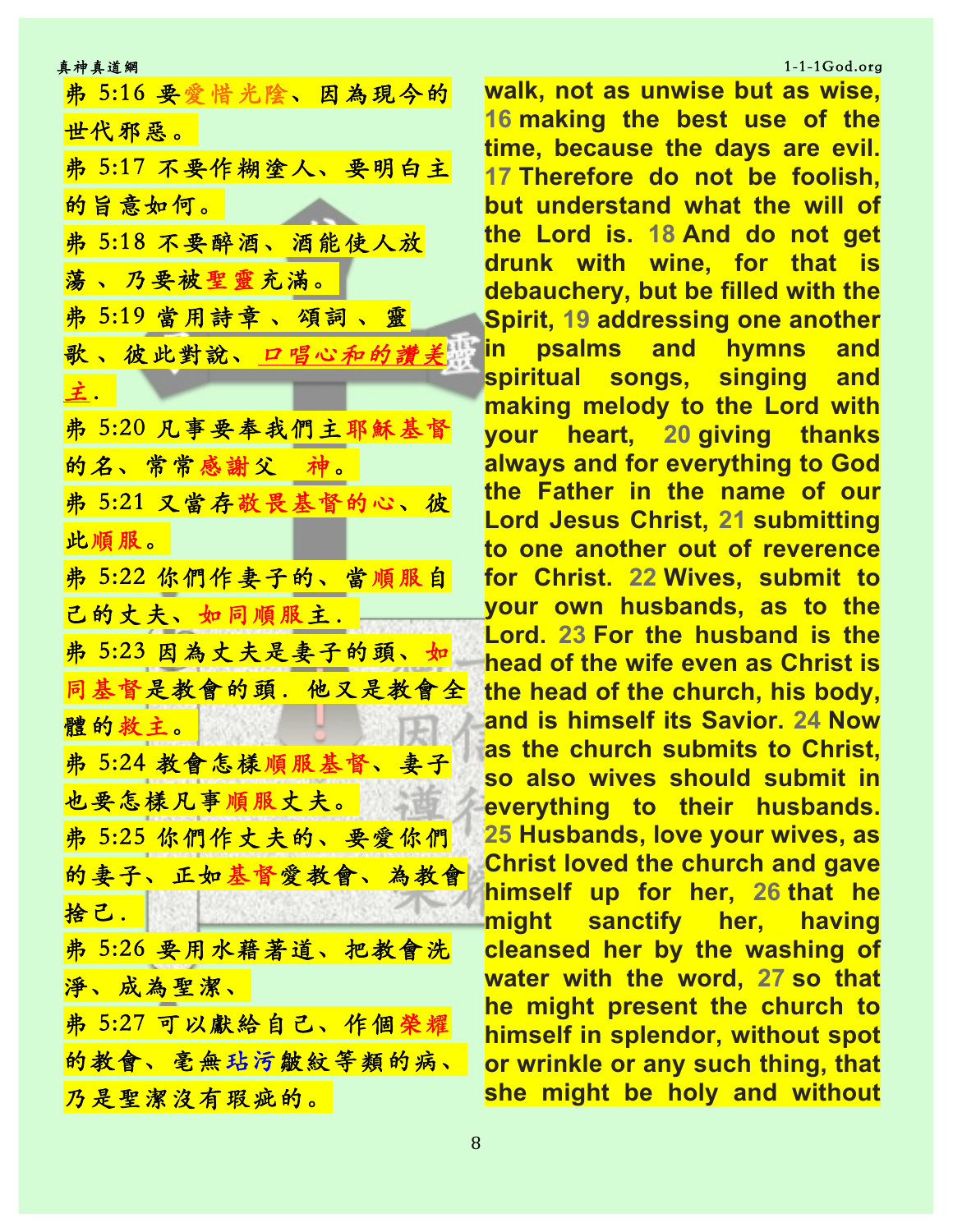| 真神真道網              |
|--------------------|
| 弗 5:16 要愛惜光陰、因為現今的 |
| 世代邪惡。              |
| 弗 5:17 不要作糊塗人、要明白主 |
| 的旨意如何。             |
| 弗 5:18 不要醉酒、酒能使人放  |
| 荡、乃要被聖靈充滿。         |
| 弗 5:19 當用詩章、 頌詞、 靈 |
| 歌、彼此對說、口唱心和的讚      |
| 主.                 |
| 弗 5:20 凡事要奉我們主耶穌基督 |
| 的名、常常感謝父 神。        |
| 弗 5:21 又當存敬畏基督的心、彼 |
| 此順服。               |
| 弗 5:22 你們作妻子的、當順服自 |
| 己的丈夫、如同順服主.        |
| 弗 5:23 因為丈夫是妻子的頭、如 |
| 同基督是教會的頭.他又是教會全    |
| 體的救主。              |
| 弗 5:24 教會怎樣順服基督、妻子 |
| 也要怎樣凡事順服丈夫。        |
| 弗 5:25 你們作丈夫的、要愛你們 |
| 的妻子、正如基督愛教會、為教會    |
| 捨己.                |
| 弗 5:26 要用水藉著道、把教會洗 |
| 淨、成為聖潔、            |
| 弗 5:27 可以獻給自己、作個榮耀 |
| 的教會、毫無玷污皺紋等類的病、    |
| 乃是聖潔沒有瑕疵的。         |

**16 making the best use of the time, because the days are evil. 17 Therefore do not be foolish, but understand what the will of the Lord is. 18 And do not get drunk with wine, for that is debauchery, but be filled with the Spirit, 19 addressing one another in psalms and hymns and spiritual songs, singing and making melody to the Lord with your heart, 20 giving thanks always and for everything to God the Father in the name of our Lord Jesus Christ, 21 submitting to one another out of reverence for Christ. 22 Wives, submit to your own husbands, as to the Lord. 23 For the husband is the head of the wife even as Christ is the head of the church, his body, and is himself its Savior. 24 Now as the church submits to Christ, so also wives should submit in everything to their husbands. 25 Husbands, love your wives, as Christ loved the church and gave himself up for her, 26 that he might sanctify her, having cleansed her by the washing of water with the word, 27 so that he might present the church to himself in splendor, without spot or wrinkle or any such thing, that she might be holy and without** 

**walk, not as unwise but as wise,** 

 $1-1-1$ God.org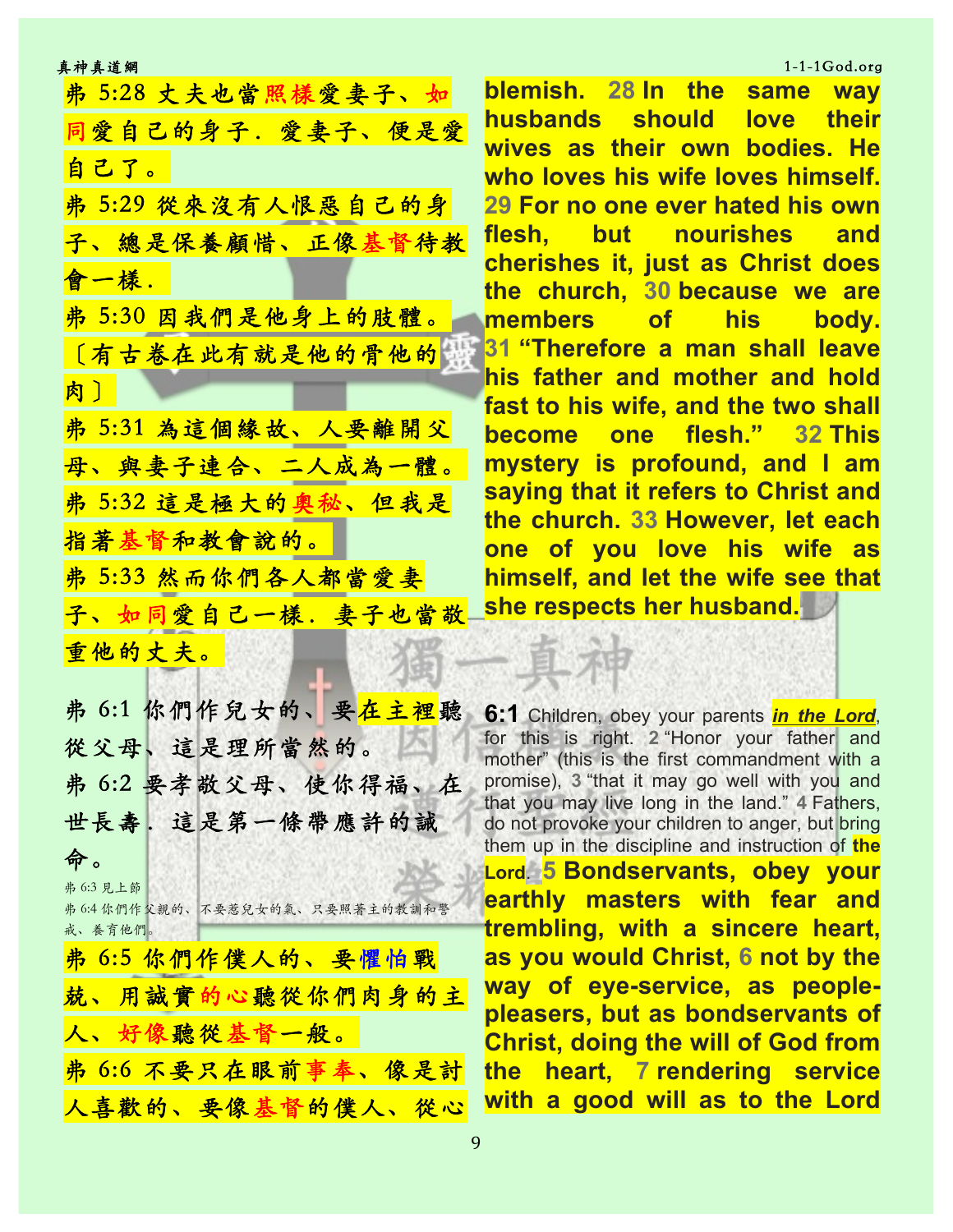真神真道網 1-1-1God.org としょう しょうしょう しょうしょうしゅぎょう しゅうしゅう しょうしゅうしゅぎょう しょうしゅうしゅ 弗 5:28 丈夫也當照樣愛妻子、如 同愛自己的身子.愛妻子、便是愛 自己了。 弗 5:29 從來沒有人恨惡自己的身 子、總是保養顧惜、正像基督待教 會一樣. 弗 5:30 因我們是他身上的肢體。 〔有古卷在此有就是他的骨他的 肉〕 弗 5:31 為這個緣故、人要離開父 母、與妻⼦連合、⼆⼈成為⼀體。 弗 5:32 這是極⼤的奧秘、但我是 指著基督和教會說的。 弗 5:33 然而你們各人都當愛妻 子、如同愛自己一樣. 妻子也當敬. 重他的丈夫。 弗 6:1 你們作兒女的、要在主裡聽 從父母、這是理所當然的。 弗 6:2 要孝敬父母、使你得福、在 世長壽.這是第⼀條帶應許的誡 命。 弗 6:3 見上節 弗 6:4 你們作父親的、不要惹兒女的氣、只要照著主的教訓和警 戒、養育他們。 弗 6:5 你們作僕⼈的、要懼怕戰 就、用誠實的心聽從你們肉身的主 人、好像聽從基督一般。 弗 6:6 不要只在眼前事奉、像是討

人喜歡的、要像基督的僕人、從心

**blemish. 28 In the same way husbands should love their wives as their own bodies. He who loves his wife loves himself. 29 For no one ever hated his own flesh, but nourishes and cherishes it, just as Christ does the church, 30 because we are members of his body. 31 "Therefore a man shall leave his father and mother and hold fast to his wife, and the two shall become one flesh." 32 This mystery is profound, and I am saying that it refers to Christ and the church. 33 However, let each one of you love his wife as himself, and let the wife see that she respects her husband.**

**6:1** Children, obey your parents *in the Lord*, for this is right. **2** "Honor your father and mother" (this is the first commandment with a promise), **3** "that it may go well with you and that you may live long in the land." **4** Fathers, do not provoke your children to anger, but bring them up in the discipline and instruction of **the Lord**. **5 Bondservants, obey your earthly masters with fear and trembling, with a sincere heart, as you would Christ, 6 not by the way of eye-service, as peoplepleasers, but as bondservants of Christ, doing the will of God from the heart, 7 rendering service with a good will as to the Lord**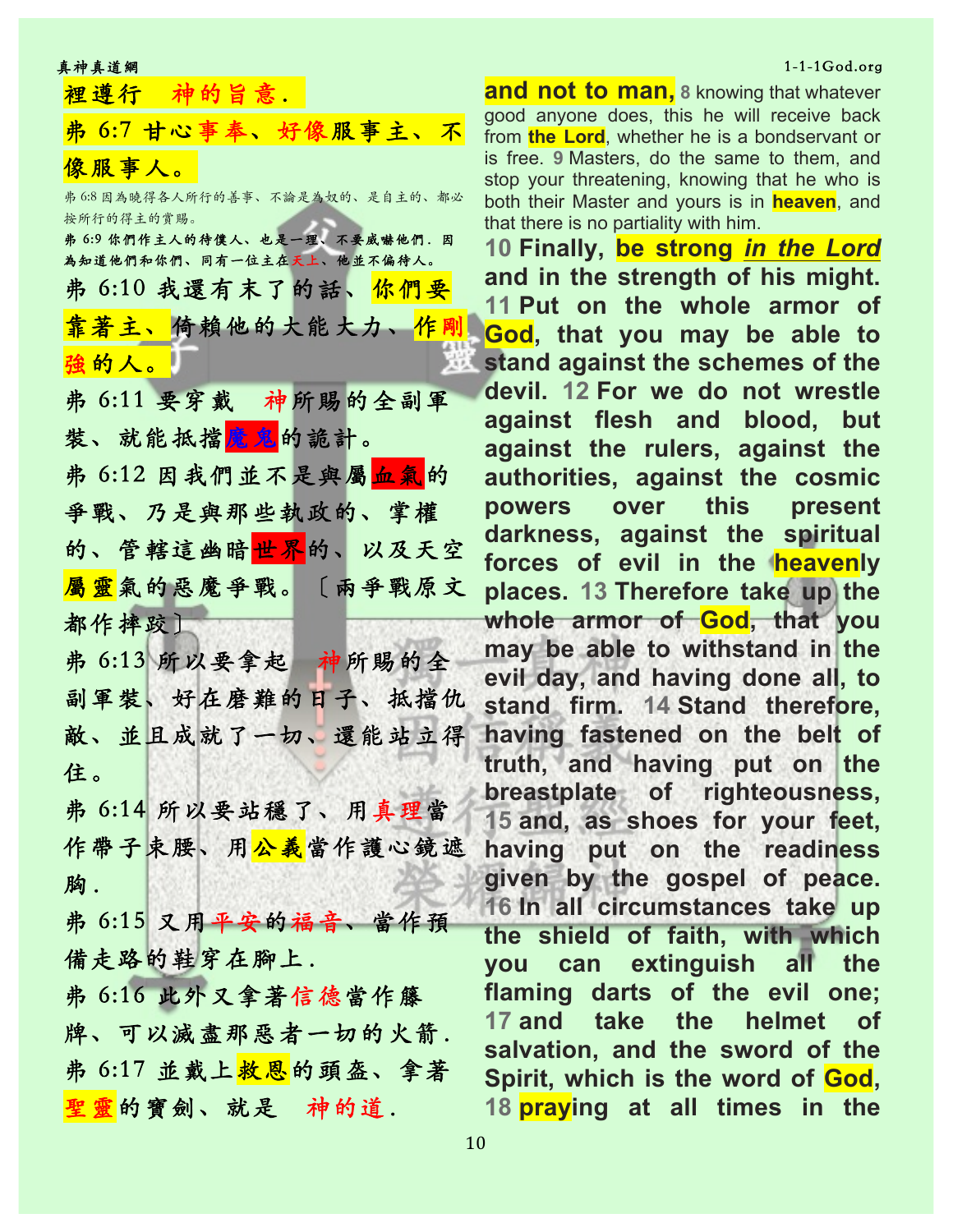## 裡導行 神的旨意.

真神真道網 1-1-1God.org としょう しょうしょう しょうしょうしゅぎょう しょうしゅう しょうしゅうしゅぎょう しょうしゅうしゅ

| 弗 6:7 甘心事奉、好像服事主、不                                             |
|----------------------------------------------------------------|
| 像服事人。                                                          |
| 弗 6:8 因為曉得各人所行的善事、不論是為奴的、是自主的、都必<br>按所行的得主的賞賜。                 |
| 弗 6:9 你們作主人的待僕人、也是一理、不要威嚇他們.<br>因<br>為知道他們和你們、同有一位主在天上、他並不偏待人。 |
| 弗 6:10 我還有末了的話、你們要                                             |
| 靠著主、倚賴他的大能大力、作剛                                                |
| 強的人。                                                           |
| 弗 6:11 要穿戴 神所赐的全副軍                                             |
| 装、就能抵擋魔鬼的詭計。                                                   |
| 弗 6:12 因我們並不是與屬 <mark>血氣</mark> 的                              |
| 爭戰、乃是與那些執政的、<br>掌權                                             |
| 的、管轄這幽暗 <mark>世界</mark> 的、以及天空                                 |
| 屬靈氣的惡魔爭戰。〔兩爭戰原文                                                |
| 都作摔跤】                                                          |
| 弗 6:13 所以要拿起 神所賜的全                                             |
| 副軍裝、好在磨難的日子、抵擋仇                                                |
| 敵、並且成就了一切、還能站立得                                                |
| 住。                                                             |
| 弗 6:14 所以要站穩了、用真理當                                             |
| 作帶子束腰、用 <mark>公義</mark> 當作護心鏡遮                                 |
| 胸.                                                             |
| 弗 6:15 又用平安的福音、當作預                                             |
| 備走路的鞋穿在腳上.                                                     |
| 弗 6:16 此外又拿著信德當作籐                                              |
| 牌、可以滅盡那惡者一切的火箭.                                                |
| 弗 6:17 並戴上 <mark>救恩</mark> 的頭盔、拿著                              |
| 聖靈的寶劍、就是 神的道.                                                  |

**and not to man, 8** knowing that whatever good anyone does, this he will receive back from **the Lord**, whether he is a bondservant or is free. **9** Masters, do the same to them, and stop your threatening, knowing that he who is both their Master and yours is in **heaven**, and that there is no partiality with him.

**10 Finally, be strong** *in the Lord*  **and in the strength of his might. 11 Put on the whole armor of God, that you may be able to stand against the schemes of the devil. 12 For we do not wrestle against flesh and blood, but against the rulers, against the authorities, against the cosmic powers over this present darkness, against the spiritual forces of evil in the heavenly places. 13 Therefore take up the whole armor of God, that you may be able to withstand in the evil day, and having done all, to stand firm. 14 Stand therefore, having fastened on the belt of truth, and having put on the breastplate of righteousness, 15 and, as shoes for your feet, having put on the readiness given by the gospel of peace. 16 In all circumstances take up the shield of faith, with which you can extinguish all the flaming darts of the evil one; 17 and take the helmet of salvation, and the sword of the Spirit, which is the word of God, 18 praying at all times in the**